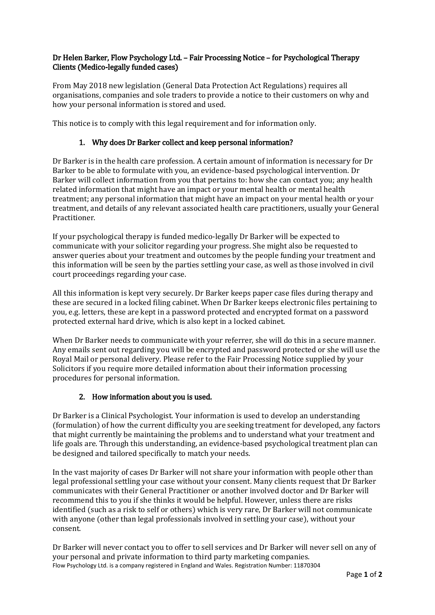# Dr Helen Barker, Flow Psychology Ltd. – Fair Processing Notice – for Psychological Therapy Clients (Medico-legally funded cases)

From May 2018 new legislation (General Data Protection Act Regulations) requires all organisations, companies and sole traders to provide a notice to their customers on why and how your personal information is stored and used.

This notice is to comply with this legal requirement and for information only.

### 1. Why does Dr Barker collect and keep personal information?

Dr Barker is in the health care profession. A certain amount of information is necessary for Dr Barker to be able to formulate with you, an evidence-based psychological intervention. Dr Barker will collect information from you that pertains to: how she can contact you; any health related information that might have an impact or your mental health or mental health treatment; any personal information that might have an impact on your mental health or your treatment, and details of any relevant associated health care practitioners, usually your General Practitioner.

If your psychological therapy is funded medico-legally Dr Barker will be expected to communicate with your solicitor regarding your progress. She might also be requested to answer queries about your treatment and outcomes by the people funding your treatment and this information will be seen by the parties settling your case, as well as those involved in civil court proceedings regarding your case.

All this information is kept very securely. Dr Barker keeps paper case files during therapy and these are secured in a locked filing cabinet. When Dr Barker keeps electronic files pertaining to you, e.g. letters, these are kept in a password protected and encrypted format on a password protected external hard drive, which is also kept in a locked cabinet.

When Dr Barker needs to communicate with your referrer, she will do this in a secure manner. Any emails sent out regarding you will be encrypted and password protected or she will use the Royal Mail or personal delivery. Please refer to the Fair Processing Notice supplied by your Solicitors if you require more detailed information about their information processing procedures for personal information.

## 2. How information about you is used.

Dr Barker is a Clinical Psychologist. Your information is used to develop an understanding (formulation) of how the current difficulty you are seeking treatment for developed, any factors that might currently be maintaining the problems and to understand what your treatment and life goals are. Through this understanding, an evidence-based psychological treatment plan can be designed and tailored specifically to match your needs.

In the vast majority of cases Dr Barker will not share your information with people other than legal professional settling your case without your consent. Many clients request that Dr Barker communicates with their General Practitioner or another involved doctor and Dr Barker will recommend this to you if she thinks it would be helpful. However, unless there are risks identified (such as a risk to self or others) which is very rare, Dr Barker will not communicate with anyone (other than legal professionals involved in settling your case), without your consent.

Flow Psychology Ltd. is a company registered in England and Wales. Registration Number: 11870304 Dr Barker will never contact you to offer to sell services and Dr Barker will never sell on any of your personal and private information to third party marketing companies.